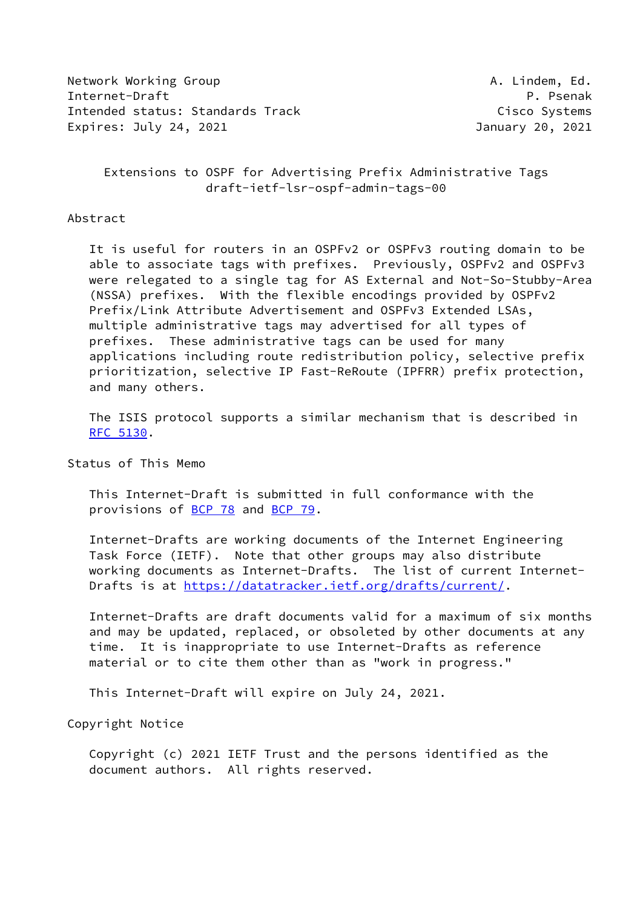Network Working Group **A. Lindem, Ed.** A. Lindem, Ed. Internet-Draft Property Communication of P. Psenak Intended status: Standards Track Cisco Systems Expires: July 24, 2021 January 20, 2021

 Extensions to OSPF for Advertising Prefix Administrative Tags draft-ietf-lsr-ospf-admin-tags-00

## Abstract

 It is useful for routers in an OSPFv2 or OSPFv3 routing domain to be able to associate tags with prefixes. Previously, OSPFv2 and OSPFv3 were relegated to a single tag for AS External and Not-So-Stubby-Area (NSSA) prefixes. With the flexible encodings provided by OSPFv2 Prefix/Link Attribute Advertisement and OSPFv3 Extended LSAs, multiple administrative tags may advertised for all types of prefixes. These administrative tags can be used for many applications including route redistribution policy, selective prefix prioritization, selective IP Fast-ReRoute (IPFRR) prefix protection, and many others.

 The ISIS protocol supports a similar mechanism that is described in [RFC 5130](https://datatracker.ietf.org/doc/pdf/rfc5130).

Status of This Memo

 This Internet-Draft is submitted in full conformance with the provisions of [BCP 78](https://datatracker.ietf.org/doc/pdf/bcp78) and [BCP 79](https://datatracker.ietf.org/doc/pdf/bcp79).

 Internet-Drafts are working documents of the Internet Engineering Task Force (IETF). Note that other groups may also distribute working documents as Internet-Drafts. The list of current Internet- Drafts is at<https://datatracker.ietf.org/drafts/current/>.

 Internet-Drafts are draft documents valid for a maximum of six months and may be updated, replaced, or obsoleted by other documents at any time. It is inappropriate to use Internet-Drafts as reference material or to cite them other than as "work in progress."

This Internet-Draft will expire on July 24, 2021.

Copyright Notice

 Copyright (c) 2021 IETF Trust and the persons identified as the document authors. All rights reserved.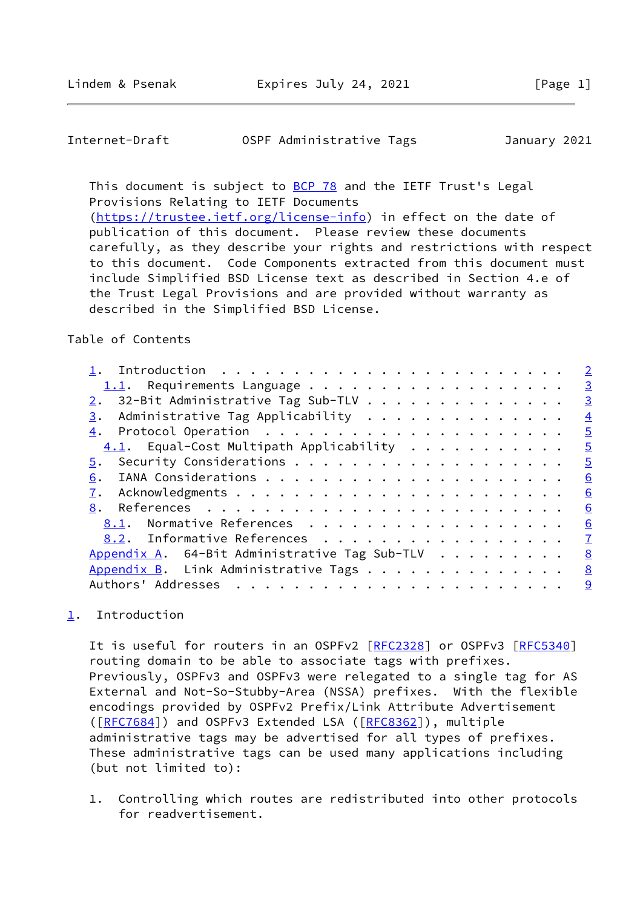<span id="page-1-1"></span>Internet-Draft OSPF Administrative Tags January 2021

This document is subject to [BCP 78](https://datatracker.ietf.org/doc/pdf/bcp78) and the IETF Trust's Legal Provisions Relating to IETF Documents

 [\(https://trustee.ietf.org/license-info](https://trustee.ietf.org/license-info)) in effect on the date of publication of this document. Please review these documents carefully, as they describe your rights and restrictions with respect to this document. Code Components extracted from this document must include Simplified BSD License text as described in Section 4.e of the Trust Legal Provisions and are provided without warranty as described in the Simplified BSD License.

# Table of Contents

|                                                        | $\overline{2}$ |
|--------------------------------------------------------|----------------|
|                                                        | $\overline{3}$ |
| $2.$ 32-Bit Administrative Tag Sub-TLV                 | $\overline{3}$ |
| Administrative Tag Applicability<br>3.                 | $\overline{4}$ |
|                                                        | $\overline{5}$ |
| $\underline{4.1}$ . Equal-Cost Multipath Applicability | $\overline{5}$ |
|                                                        | $\overline{5}$ |
| 6.                                                     | 6              |
|                                                        | 6              |
| 8.                                                     | 6              |
| 8.1. Normative References                              | 6              |
| 8.2. Informative References                            | $\mathbf{Z}$   |
| Appendix A. 64-Bit Administrative Tag Sub-TLV          | 8              |
| Appendix B. Link Administrative Tags                   | 8              |
| Authors' Addresses                                     | 9              |
|                                                        |                |

# <span id="page-1-0"></span>[1](#page-1-0). Introduction

It is useful for routers in an OSPFv2 [[RFC2328](https://datatracker.ietf.org/doc/pdf/rfc2328)] or OSPFv3 [[RFC5340](https://datatracker.ietf.org/doc/pdf/rfc5340)] routing domain to be able to associate tags with prefixes. Previously, OSPFv3 and OSPFv3 were relegated to a single tag for AS External and Not-So-Stubby-Area (NSSA) prefixes. With the flexible encodings provided by OSPFv2 Prefix/Link Attribute Advertisement ([\[RFC7684](https://datatracker.ietf.org/doc/pdf/rfc7684)]) and OSPFv3 Extended LSA ([\[RFC8362](https://datatracker.ietf.org/doc/pdf/rfc8362)]), multiple administrative tags may be advertised for all types of prefixes. These administrative tags can be used many applications including (but not limited to):

 1. Controlling which routes are redistributed into other protocols for readvertisement.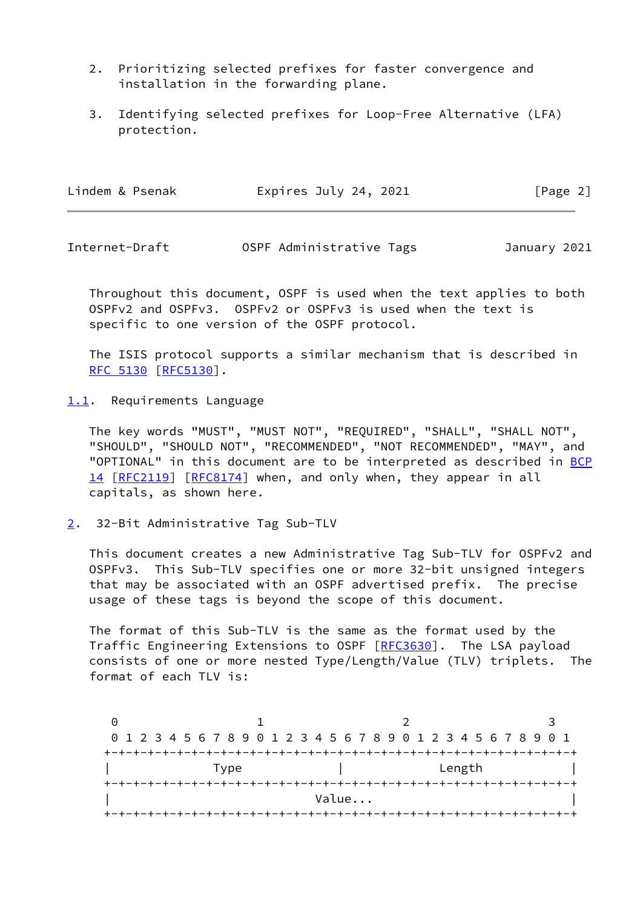- 2. Prioritizing selected prefixes for faster convergence and installation in the forwarding plane.
- 3. Identifying selected prefixes for Loop-Free Alternative (LFA) protection.

| Lindem & Psenak | Expires July 24, 2021 | [Page 2] |
|-----------------|-----------------------|----------|
|-----------------|-----------------------|----------|

<span id="page-2-1"></span>Internet-Draft OSPF Administrative Tags January 2021

 Throughout this document, OSPF is used when the text applies to both OSPFv2 and OSPFv3. OSPFv2 or OSPFv3 is used when the text is specific to one version of the OSPF protocol.

 The ISIS protocol supports a similar mechanism that is described in [RFC 5130](https://datatracker.ietf.org/doc/pdf/rfc5130) [\[RFC5130](https://datatracker.ietf.org/doc/pdf/rfc5130)].

<span id="page-2-0"></span>[1.1](#page-2-0). Requirements Language

 The key words "MUST", "MUST NOT", "REQUIRED", "SHALL", "SHALL NOT", "SHOULD", "SHOULD NOT", "RECOMMENDED", "NOT RECOMMENDED", "MAY", and "OPTIONAL" in this document are to be interpreted as described in [BCP](https://datatracker.ietf.org/doc/pdf/bcp14) [14](https://datatracker.ietf.org/doc/pdf/bcp14) [[RFC2119\]](https://datatracker.ietf.org/doc/pdf/rfc2119) [\[RFC8174](https://datatracker.ietf.org/doc/pdf/rfc8174)] when, and only when, they appear in all capitals, as shown here.

<span id="page-2-2"></span>[2](#page-2-2). 32-Bit Administrative Tag Sub-TLV

 This document creates a new Administrative Tag Sub-TLV for OSPFv2 and OSPFv3. This Sub-TLV specifies one or more 32-bit unsigned integers that may be associated with an OSPF advertised prefix. The precise usage of these tags is beyond the scope of this document.

 The format of this Sub-TLV is the same as the format used by the Traffic Engineering Extensions to OSPF [\[RFC3630](https://datatracker.ietf.org/doc/pdf/rfc3630)]. The LSA payload consists of one or more nested Type/Length/Value (TLV) triplets. The format of each TLV is:

0 1 2 3 0 1 2 3 4 5 6 7 8 9 0 1 2 3 4 5 6 7 8 9 0 1 2 3 4 5 6 7 8 9 0 1 +-+-+-+-+-+-+-+-+-+-+-+-+-+-+-+-+-+-+-+-+-+-+-+-+-+-+-+-+-+-+-+-+ | Type | Length | | +-+-+-+-+-+-+-+-+-+-+-+-+-+-+-+-+-+-+-+-+-+-+-+-+-+-+-+-+-+-+-+-+ | **Value...** | **Value...** | **Value...** | **Value...** | **|**  $\frac{1}{2}$ +-+-+-+-+-+-+-+-+-+-+-+-+-+-+-+-+-+-+-+-+-+-+-+-+-+-+-+-+-+-+-+-+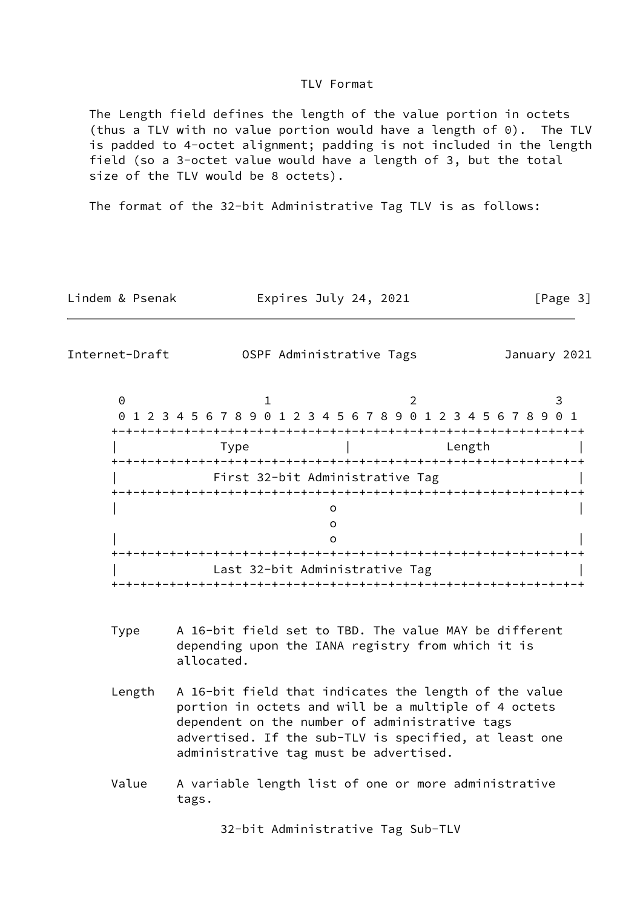### TLV Format

 The Length field defines the length of the value portion in octets (thus a TLV with no value portion would have a length of 0). The TLV is padded to 4-octet alignment; padding is not included in the length field (so a 3-octet value would have a length of 3, but the total size of the TLV would be 8 octets).

The format of the 32-bit Administrative Tag TLV is as follows:

Lindem & Psenak **Expires July 24, 2021** [Page 3]

<span id="page-3-0"></span>Internet-Draft OSPF Administrative Tags January 2021

| 0 1 2 3 4 5 6 7 8 9 0 1 2 3 4 5 6 7 8 9 0 1 2 3 4 5 6 7 8 9 0 1 |                                |                              |        |  |
|-----------------------------------------------------------------|--------------------------------|------------------------------|--------|--|
|                                                                 |                                |                              |        |  |
| Type                                                            |                                |                              | Length |  |
|                                                                 |                                |                              |        |  |
| First 32-bit Administrative Tag                                 |                                |                              |        |  |
|                                                                 |                                |                              |        |  |
|                                                                 |                                |                              |        |  |
|                                                                 |                                |                              |        |  |
|                                                                 |                                |                              |        |  |
|                                                                 |                                |                              |        |  |
|                                                                 | Last 32-bit Administrative Tag |                              |        |  |
|                                                                 |                                | -+-+-+-+-+-+-+-+-+-+-+-+-+-+ |        |  |

- Type A 16-bit field set to TBD. The value MAY be different depending upon the IANA registry from which it is allocated.
- Length A 16-bit field that indicates the length of the value portion in octets and will be a multiple of 4 octets dependent on the number of administrative tags advertised. If the sub-TLV is specified, at least one administrative tag must be advertised.
- Value A variable length list of one or more administrative tags.

32-bit Administrative Tag Sub-TLV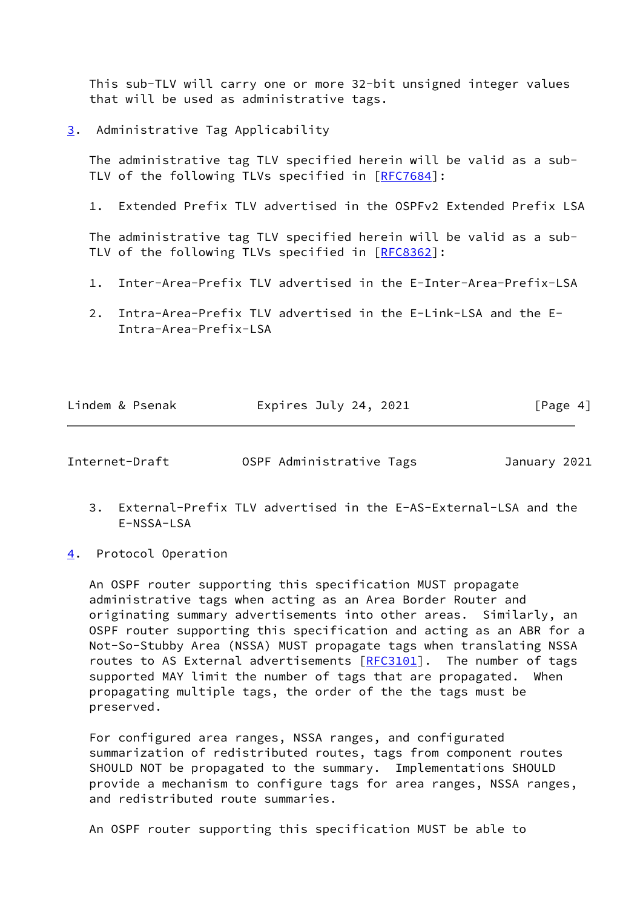This sub-TLV will carry one or more 32-bit unsigned integer values that will be used as administrative tags.

<span id="page-4-0"></span>[3](#page-4-0). Administrative Tag Applicability

 The administrative tag TLV specified herein will be valid as a sub- TLV of the following TLVs specified in [\[RFC7684](https://datatracker.ietf.org/doc/pdf/rfc7684)]:

1. Extended Prefix TLV advertised in the OSPFv2 Extended Prefix LSA

 The administrative tag TLV specified herein will be valid as a sub- TLV of the following TLVs specified in [\[RFC8362](https://datatracker.ietf.org/doc/pdf/rfc8362)]:

- 1. Inter-Area-Prefix TLV advertised in the E-Inter-Area-Prefix-LSA
- 2. Intra-Area-Prefix TLV advertised in the E-Link-LSA and the E- Intra-Area-Prefix-LSA

| Lindem & Psenak | Expires July 24, 2021 | [Page 4] |
|-----------------|-----------------------|----------|
|                 |                       |          |

<span id="page-4-2"></span>Internet-Draft OSPF Administrative Tags January 2021

- 3. External-Prefix TLV advertised in the E-AS-External-LSA and the E-NSSA-LSA
- <span id="page-4-1"></span>[4](#page-4-1). Protocol Operation

 An OSPF router supporting this specification MUST propagate administrative tags when acting as an Area Border Router and originating summary advertisements into other areas. Similarly, an OSPF router supporting this specification and acting as an ABR for a Not-So-Stubby Area (NSSA) MUST propagate tags when translating NSSA routes to AS External advertisements [\[RFC3101](https://datatracker.ietf.org/doc/pdf/rfc3101)]. The number of tags supported MAY limit the number of tags that are propagated. When propagating multiple tags, the order of the the tags must be preserved.

 For configured area ranges, NSSA ranges, and configurated summarization of redistributed routes, tags from component routes SHOULD NOT be propagated to the summary. Implementations SHOULD provide a mechanism to configure tags for area ranges, NSSA ranges, and redistributed route summaries.

An OSPF router supporting this specification MUST be able to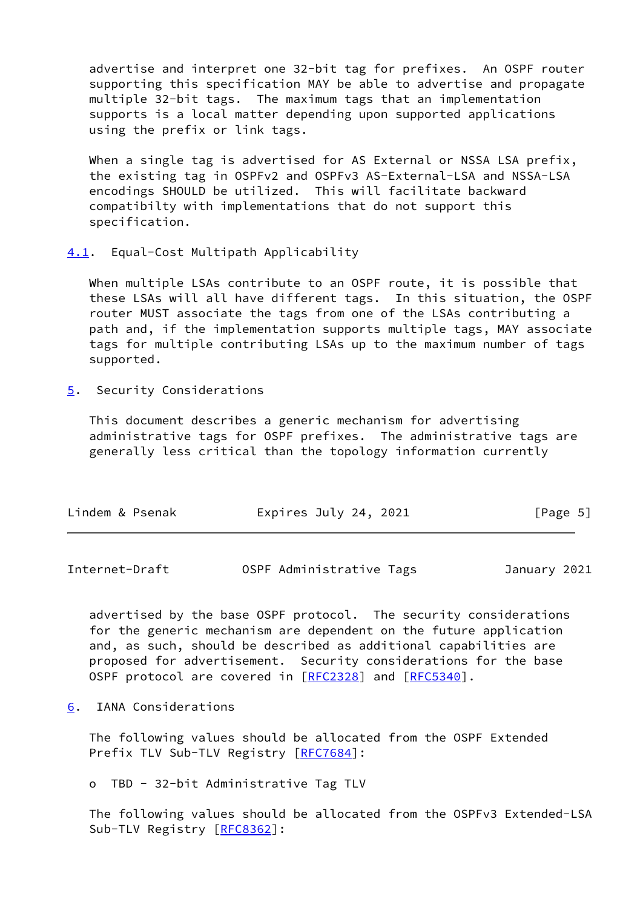advertise and interpret one 32-bit tag for prefixes. An OSPF router supporting this specification MAY be able to advertise and propagate multiple 32-bit tags. The maximum tags that an implementation supports is a local matter depending upon supported applications using the prefix or link tags.

When a single tag is advertised for AS External or NSSA LSA prefix, the existing tag in OSPFv2 and OSPFv3 AS-External-LSA and NSSA-LSA encodings SHOULD be utilized. This will facilitate backward compatibilty with implementations that do not support this specification.

<span id="page-5-0"></span>[4.1](#page-5-0). Equal-Cost Multipath Applicability

 When multiple LSAs contribute to an OSPF route, it is possible that these LSAs will all have different tags. In this situation, the OSPF router MUST associate the tags from one of the LSAs contributing a path and, if the implementation supports multiple tags, MAY associate tags for multiple contributing LSAs up to the maximum number of tags supported.

<span id="page-5-1"></span>[5](#page-5-1). Security Considerations

 This document describes a generic mechanism for advertising administrative tags for OSPF prefixes. The administrative tags are generally less critical than the topology information currently

| Lindem & Psenak | Expires July 24, 2021 | [Page 5] |
|-----------------|-----------------------|----------|
|                 |                       |          |

<span id="page-5-3"></span>Internet-Draft OSPF Administrative Tags January 2021

 advertised by the base OSPF protocol. The security considerations for the generic mechanism are dependent on the future application and, as such, should be described as additional capabilities are proposed for advertisement. Security considerations for the base OSPF protocol are covered in [\[RFC2328](https://datatracker.ietf.org/doc/pdf/rfc2328)] and [[RFC5340\]](https://datatracker.ietf.org/doc/pdf/rfc5340).

<span id="page-5-2"></span>[6](#page-5-2). IANA Considerations

 The following values should be allocated from the OSPF Extended Prefix TLV Sub-TLV Registry [\[RFC7684](https://datatracker.ietf.org/doc/pdf/rfc7684)]:

o TBD - 32-bit Administrative Tag TLV

 The following values should be allocated from the OSPFv3 Extended-LSA Sub-TLV Registry [\[RFC8362](https://datatracker.ietf.org/doc/pdf/rfc8362)]: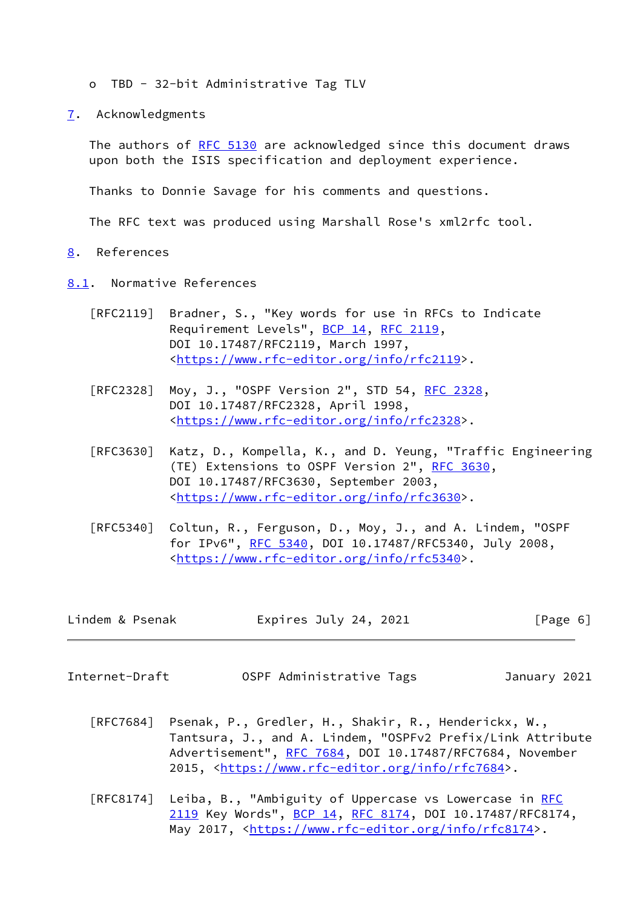- o TBD 32-bit Administrative Tag TLV
- <span id="page-6-0"></span>[7](#page-6-0). Acknowledgments

 The authors of [RFC 5130](https://datatracker.ietf.org/doc/pdf/rfc5130) are acknowledged since this document draws upon both the ISIS specification and deployment experience.

Thanks to Donnie Savage for his comments and questions.

The RFC text was produced using Marshall Rose's xml2rfc tool.

- <span id="page-6-1"></span>[8](#page-6-1). References
- <span id="page-6-2"></span>[8.1](#page-6-2). Normative References
	- [RFC2119] Bradner, S., "Key words for use in RFCs to Indicate Requirement Levels", [BCP 14](https://datatracker.ietf.org/doc/pdf/bcp14), [RFC 2119](https://datatracker.ietf.org/doc/pdf/rfc2119), DOI 10.17487/RFC2119, March 1997, <[https://www.rfc-editor.org/info/rfc2119>](https://www.rfc-editor.org/info/rfc2119).
	- [RFC2328] Moy, J., "OSPF Version 2", STD 54, [RFC 2328](https://datatracker.ietf.org/doc/pdf/rfc2328), DOI 10.17487/RFC2328, April 1998, <[https://www.rfc-editor.org/info/rfc2328>](https://www.rfc-editor.org/info/rfc2328).
	- [RFC3630] Katz, D., Kompella, K., and D. Yeung, "Traffic Engineering (TE) Extensions to OSPF Version 2", [RFC 3630,](https://datatracker.ietf.org/doc/pdf/rfc3630) DOI 10.17487/RFC3630, September 2003, <[https://www.rfc-editor.org/info/rfc3630>](https://www.rfc-editor.org/info/rfc3630).
	- [RFC5340] Coltun, R., Ferguson, D., Moy, J., and A. Lindem, "OSPF for IPv6", [RFC 5340](https://datatracker.ietf.org/doc/pdf/rfc5340), DOI 10.17487/RFC5340, July 2008, <[https://www.rfc-editor.org/info/rfc5340>](https://www.rfc-editor.org/info/rfc5340).

| Lindem & Psenak | Expires July 24, 2021 |  | [Page 6] |
|-----------------|-----------------------|--|----------|
|-----------------|-----------------------|--|----------|

<span id="page-6-3"></span>Internet-Draft OSPF Administrative Tags January 2021

- [RFC7684] Psenak, P., Gredler, H., Shakir, R., Henderickx, W., Tantsura, J., and A. Lindem, "OSPFv2 Prefix/Link Attribute Advertisement", [RFC 7684,](https://datatracker.ietf.org/doc/pdf/rfc7684) DOI 10.17487/RFC7684, November 2015, [<https://www.rfc-editor.org/info/rfc7684](https://www.rfc-editor.org/info/rfc7684)>.
- [RFC8174] Leiba, B., "Ambiguity of Uppercase vs Lowercase in [RFC](https://datatracker.ietf.org/doc/pdf/rfc2119) [2119](https://datatracker.ietf.org/doc/pdf/rfc2119) Key Words", [BCP 14](https://datatracker.ietf.org/doc/pdf/bcp14), [RFC 8174,](https://datatracker.ietf.org/doc/pdf/rfc8174) DOI 10.17487/RFC8174, May 2017, [<https://www.rfc-editor.org/info/rfc8174](https://www.rfc-editor.org/info/rfc8174)>.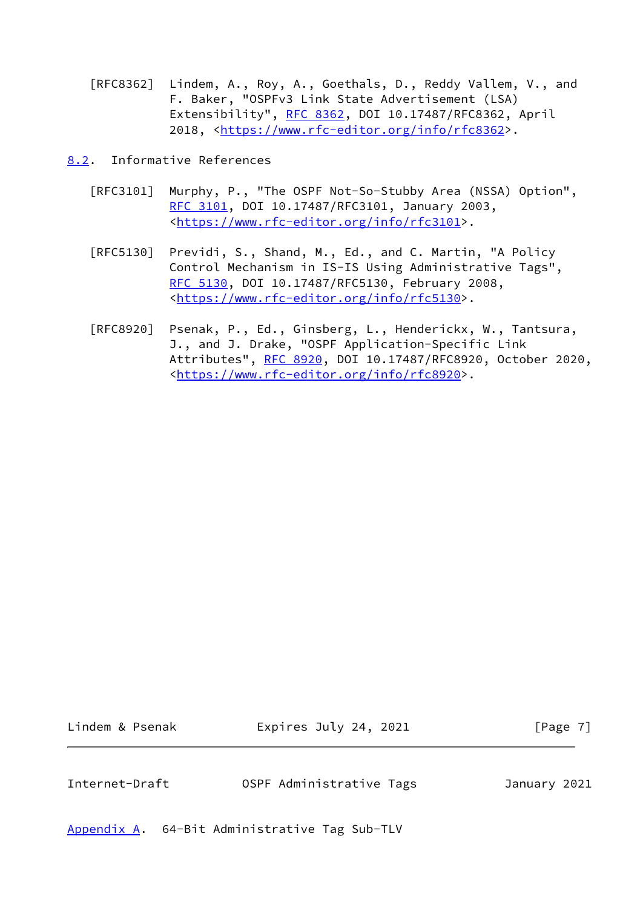- [RFC8362] Lindem, A., Roy, A., Goethals, D., Reddy Vallem, V., and F. Baker, "OSPFv3 Link State Advertisement (LSA) Extensibility", [RFC 8362,](https://datatracker.ietf.org/doc/pdf/rfc8362) DOI 10.17487/RFC8362, April 2018, [<https://www.rfc-editor.org/info/rfc8362](https://www.rfc-editor.org/info/rfc8362)>.
- <span id="page-7-0"></span>[8.2](#page-7-0). Informative References
	- [RFC3101] Murphy, P., "The OSPF Not-So-Stubby Area (NSSA) Option", [RFC 3101,](https://datatracker.ietf.org/doc/pdf/rfc3101) DOI 10.17487/RFC3101, January 2003, <[https://www.rfc-editor.org/info/rfc3101>](https://www.rfc-editor.org/info/rfc3101).
	- [RFC5130] Previdi, S., Shand, M., Ed., and C. Martin, "A Policy Control Mechanism in IS-IS Using Administrative Tags", [RFC 5130,](https://datatracker.ietf.org/doc/pdf/rfc5130) DOI 10.17487/RFC5130, February 2008, <[https://www.rfc-editor.org/info/rfc5130>](https://www.rfc-editor.org/info/rfc5130).
	- [RFC8920] Psenak, P., Ed., Ginsberg, L., Henderickx, W., Tantsura, J., and J. Drake, "OSPF Application-Specific Link Attributes", [RFC 8920](https://datatracker.ietf.org/doc/pdf/rfc8920), DOI 10.17487/RFC8920, October 2020, <[https://www.rfc-editor.org/info/rfc8920>](https://www.rfc-editor.org/info/rfc8920).

Lindem & Psenak **Expires July 24, 2021** [Page 7]

<span id="page-7-2"></span>Internet-Draft OSPF Administrative Tags January 2021

<span id="page-7-1"></span>[Appendix A.](#page-7-1) 64-Bit Administrative Tag Sub-TLV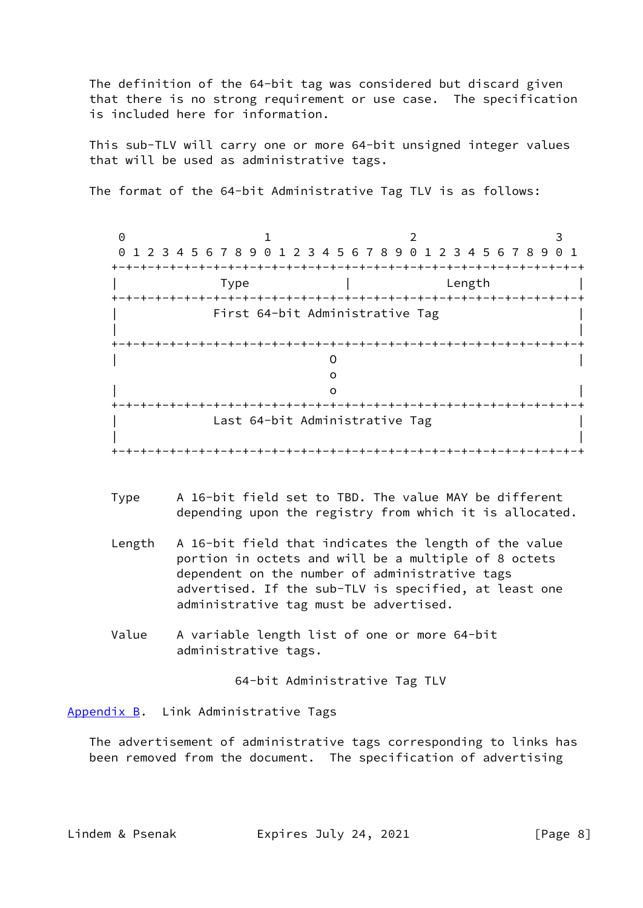The definition of the 64-bit tag was considered but discard given that there is no strong requirement or use case. The specification is included here for information.

 This sub-TLV will carry one or more 64-bit unsigned integer values that will be used as administrative tags.

The format of the 64-bit Administrative Tag TLV is as follows:

0 1 2 3 0 1 2 3 4 5 6 7 8 9 0 1 2 3 4 5 6 7 8 9 0 1 2 3 4 5 6 7 8 9 0 1 +-+-+-+-+-+-+-+-+-+-+-+-+-+-+-+-+-+-+-+-+-+-+-+-+-+-+-+-+-+-+-+-+ | Type | Length | +-+-+-+-+-+-+-+-+-+-+-+-+-+-+-+-+-+-+-+-+-+-+-+-+-+-+-+-+-+-+-+-+ | First 64-bit Administrative Tag | | | +-+-+-+-+-+-+-+-+-+-+-+-+-+-+-+-+-+-+-+-+-+-+-+-+-+-+-+-+-+-+-+-+ | O | of the contract of the contract of the contract of the contract of the contract of the contract of the contract of the contract of the contract of the contract of the contract of the contract of the contract of the contrac | o | +-+-+-+-+-+-+-+-+-+-+-+-+-+-+-+-+-+-+-+-+-+-+-+-+-+-+-+-+-+-+-+-+ Last 64-bit Administrative Tag | | +-+-+-+-+-+-+-+-+-+-+-+-+-+-+-+-+-+-+-+-+-+-+-+-+-+-+-+-+-+-+-+-+

- Type A 16-bit field set to TBD. The value MAY be different depending upon the registry from which it is allocated.
- Length A 16-bit field that indicates the length of the value portion in octets and will be a multiple of 8 octets dependent on the number of administrative tags advertised. If the sub-TLV is specified, at least one administrative tag must be advertised.
- Value A variable length list of one or more 64-bit administrative tags.

64-bit Administrative Tag TLV

<span id="page-8-0"></span>[Appendix B.](#page-8-0) Link Administrative Tags

 The advertisement of administrative tags corresponding to links has been removed from the document. The specification of advertising

Lindem & Psenak Expires July 24, 2021 [Page 8]